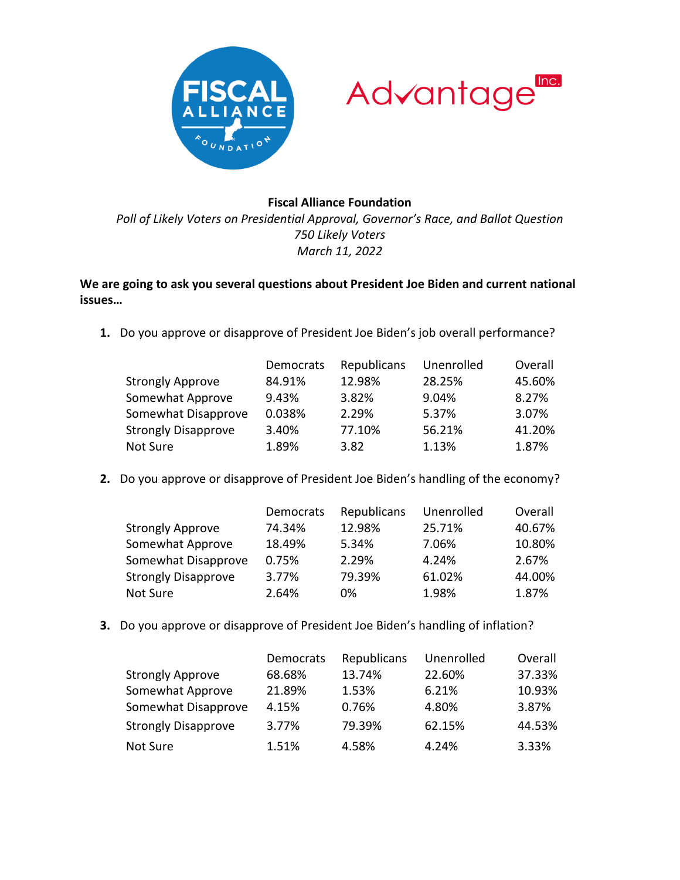



## **Fiscal Alliance Foundation**

*Poll of Likely Voters on Presidential Approval, Governor's Race, and Ballot Question 750 Likely Voters March 11, 2022*

## **We are going to ask you several questions about President Joe Biden and current national issues…**

**1.** Do you approve or disapprove of President Joe Biden's job overall performance?

|                            | Democrats | Republicans | Unenrolled | Overall |
|----------------------------|-----------|-------------|------------|---------|
| <b>Strongly Approve</b>    | 84.91%    | 12.98%      | 28.25%     | 45.60%  |
| Somewhat Approve           | 9.43%     | 3.82%       | 9.04%      | 8.27%   |
| Somewhat Disapprove        | 0.038%    | 2.29%       | 5.37%      | 3.07%   |
| <b>Strongly Disapprove</b> | 3.40%     | 77.10%      | 56.21%     | 41.20%  |
| Not Sure                   | 1.89%     | 3.82        | 1.13%      | 1.87%   |

**2.** Do you approve or disapprove of President Joe Biden's handling of the economy?

|                            | Democrats | Republicans | Unenrolled | Overall |
|----------------------------|-----------|-------------|------------|---------|
| <b>Strongly Approve</b>    | 74.34%    | 12.98%      | 25.71%     | 40.67%  |
| Somewhat Approve           | 18.49%    | 5.34%       | 7.06%      | 10.80%  |
| Somewhat Disapprove        | 0.75%     | 2.29%       | 4.24%      | 2.67%   |
| <b>Strongly Disapprove</b> | 3.77%     | 79.39%      | 61.02%     | 44.00%  |
| Not Sure                   | 2.64%     | 0%          | 1.98%      | 1.87%   |

**3.** Do you approve or disapprove of President Joe Biden's handling of inflation?

|                            | Democrats | Republicans | Unenrolled | Overall |
|----------------------------|-----------|-------------|------------|---------|
| <b>Strongly Approve</b>    | 68.68%    | 13.74%      | 22.60%     | 37.33%  |
| Somewhat Approve           | 21.89%    | 1.53%       | 6.21%      | 10.93%  |
| Somewhat Disapprove        | 4.15%     | 0.76%       | 4.80%      | 3.87%   |
| <b>Strongly Disapprove</b> | 3.77%     | 79.39%      | 62.15%     | 44.53%  |
| Not Sure                   | 1.51%     | 4.58%       | 4.24%      | 3.33%   |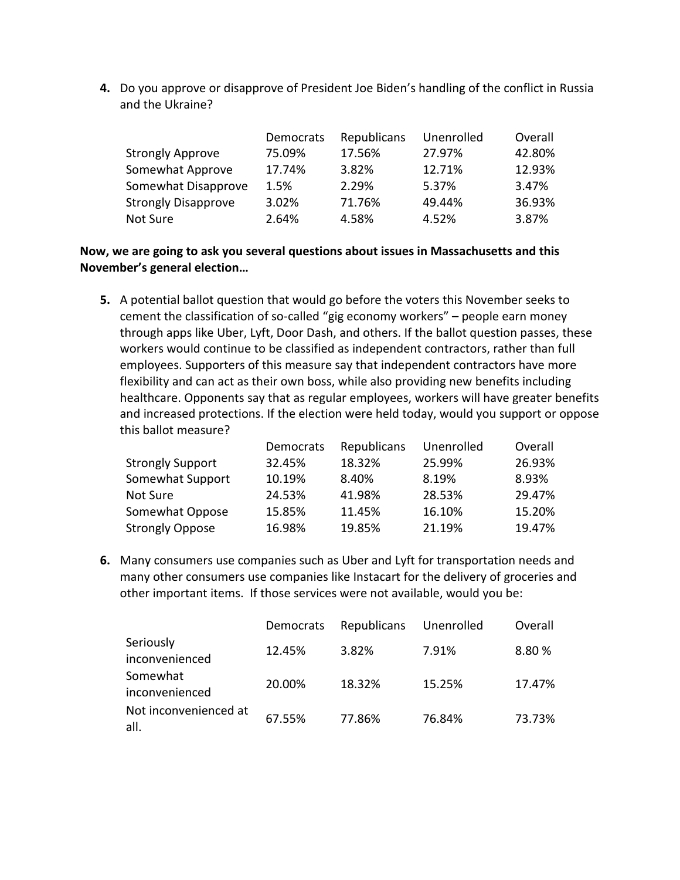**4.** Do you approve or disapprove of President Joe Biden's handling of the conflict in Russia and the Ukraine?

|                            | Democrats | Republicans | Unenrolled | Overall |
|----------------------------|-----------|-------------|------------|---------|
| <b>Strongly Approve</b>    | 75.09%    | 17.56%      | 27.97%     | 42.80%  |
| Somewhat Approve           | 17.74%    | 3.82%       | 12.71%     | 12.93%  |
| Somewhat Disapprove        | 1.5%      | 2.29%       | 5.37%      | 3.47%   |
| <b>Strongly Disapprove</b> | 3.02%     | 71.76%      | 49.44%     | 36.93%  |
| Not Sure                   | 2.64%     | 4.58%       | 4.52%      | 3.87%   |

**Now, we are going to ask you several questions about issues in Massachusetts and this November's general election…**

**5.** A potential ballot question that would go before the voters this November seeks to cement the classification of so-called "gig economy workers" – people earn money through apps like Uber, Lyft, Door Dash, and others. If the ballot question passes, these workers would continue to be classified as independent contractors, rather than full employees. Supporters of this measure say that independent contractors have more flexibility and can act as their own boss, while also providing new benefits including healthcare. Opponents say that as regular employees, workers will have greater benefits and increased protections. If the election were held today, would you support or oppose this ballot measure?

|                         | Democrats | Republicans | Unenrolled | Overall |
|-------------------------|-----------|-------------|------------|---------|
| <b>Strongly Support</b> | 32.45%    | 18.32%      | 25.99%     | 26.93%  |
| Somewhat Support        | 10.19%    | 8.40%       | 8.19%      | 8.93%   |
| Not Sure                | 24.53%    | 41.98%      | 28.53%     | 29.47%  |
| Somewhat Oppose         | 15.85%    | 11.45%      | 16.10%     | 15.20%  |
| <b>Strongly Oppose</b>  | 16.98%    | 19.85%      | 21.19%     | 19.47%  |

**6.** Many consumers use companies such as Uber and Lyft for transportation needs and many other consumers use companies like Instacart for the delivery of groceries and other important items. If those services were not available, would you be:

|                               | Democrats | Republicans | Unenrolled | Overall |
|-------------------------------|-----------|-------------|------------|---------|
| Seriously<br>inconvenienced   | 12.45%    | 3.82%       | 7.91%      | 8.80 %  |
| Somewhat<br>inconvenienced    | 20.00%    | 18.32%      | 15.25%     | 17.47%  |
| Not inconvenienced at<br>all. | 67.55%    | 77.86%      | 76.84%     | 73.73%  |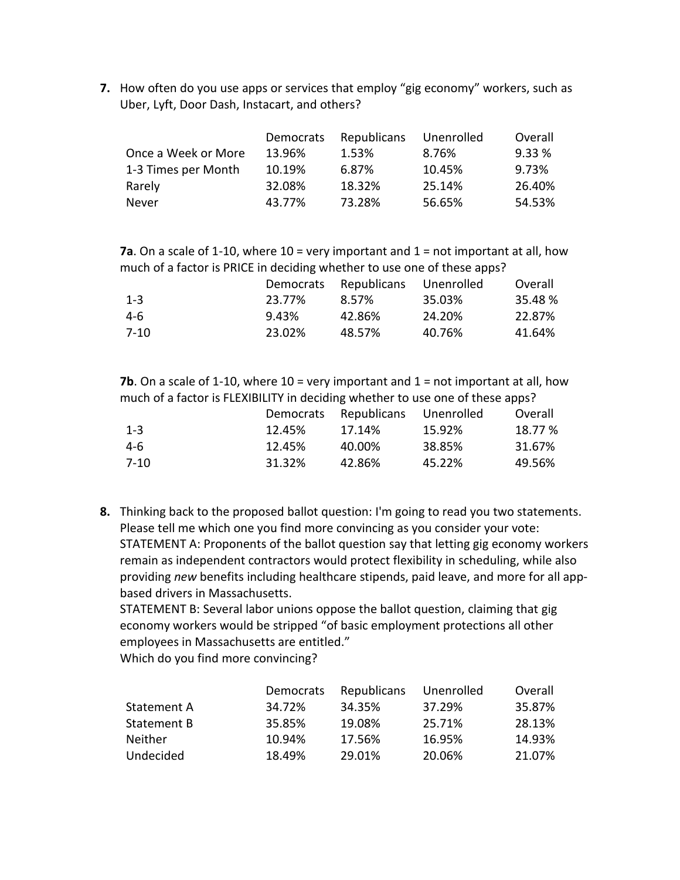**7.** How often do you use apps or services that employ "gig economy" workers, such as Uber, Lyft, Door Dash, Instacart, and others?

|                     | Democrats | Republicans | Unenrolled | Overall |
|---------------------|-----------|-------------|------------|---------|
| Once a Week or More | 13.96%    | 1.53%       | 8.76%      | 9.33%   |
| 1-3 Times per Month | 10.19%    | 6.87%       | 10.45%     | 9.73%   |
| Rarely              | 32.08%    | 18.32%      | 25.14%     | 26.40%  |
| Never               | 43.77%    | 73.28%      | 56.65%     | 54.53%  |

**7a**. On a scale of 1-10, where 10 = very important and 1 = not important at all, how much of a factor is PRICE in deciding whether to use one of these apps?

|         | Democrats | Republicans Unenrolled |        | Overall |
|---------|-----------|------------------------|--------|---------|
| $1 - 3$ | 23.77%    | 8.57%                  | 35.03% | 35.48 % |
| 4-6     | 9.43%     | 42.86%                 | 24.20% | 22.87%  |
| 7-10    | 23.02%    | 48.57%                 | 40.76% | 41.64%  |

**7b**. On a scale of 1-10, where 10 = very important and 1 = not important at all, how much of a factor is FLEXIBILITY in deciding whether to use one of these apps?

|          | Democrats | Republicans | Unenrolled | Overall |
|----------|-----------|-------------|------------|---------|
| $1 - 3$  | 12.45%    | 17.14%      | 15.92%     | 18.77 % |
| 4-6      | 12.45%    | 40.00%      | 38.85%     | 31.67%  |
| $7 - 10$ | 31.32%    | 42.86%      | 45.22%     | 49.56%  |

**8.** Thinking back to the proposed ballot question: I'm going to read you two statements. Please tell me which one you find more convincing as you consider your vote: STATEMENT A: Proponents of the ballot question say that letting gig economy workers remain as independent contractors would protect flexibility in scheduling, while also providing *new* benefits including healthcare stipends, paid leave, and more for all appbased drivers in Massachusetts.

STATEMENT B: Several labor unions oppose the ballot question, claiming that gig economy workers would be stripped "of basic employment protections all other employees in Massachusetts are entitled."

Which do you find more convincing?

|                | Democrats | Republicans | Unenrolled | Overall |
|----------------|-----------|-------------|------------|---------|
| Statement A    | 34.72%    | 34.35%      | 37.29%     | 35.87%  |
| Statement B    | 35.85%    | 19.08%      | 25.71%     | 28.13%  |
| <b>Neither</b> | 10.94%    | 17.56%      | 16.95%     | 14.93%  |
| Undecided      | 18.49%    | 29.01%      | 20.06%     | 21.07%  |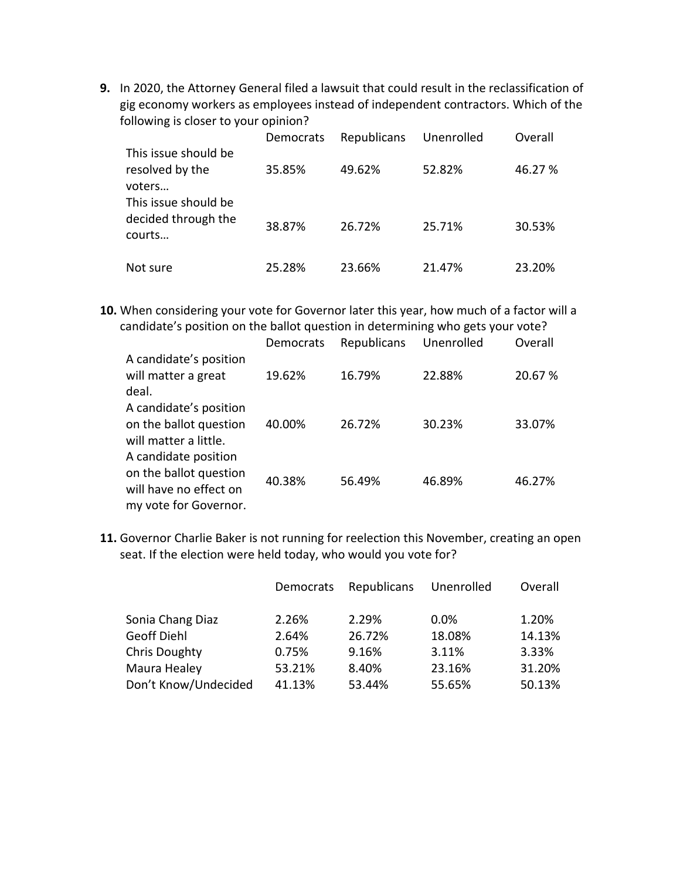**9.** In 2020, the Attorney General filed a lawsuit that could result in the reclassification of gig economy workers as employees instead of independent contractors. Which of the following is closer to your opinion?

|                                                       | Democrats | Republicans | Unenrolled | Overall |
|-------------------------------------------------------|-----------|-------------|------------|---------|
| This issue should be<br>resolved by the<br>voters     | 35.85%    | 49.62%      | 52.82%     | 46.27 % |
| This issue should be<br>decided through the<br>courts | 38.87%    | 26.72%      | 25.71%     | 30.53%  |
| Not sure                                              | 25.28%    | 23.66%      | 21.47%     | 23.20%  |

**10.** When considering your vote for Governor later this year, how much of a factor will a candidate's position on the ballot question in determining who gets your vote?

|                                                                                                   | Democrats | Republicans | Unenrolled | Overall |
|---------------------------------------------------------------------------------------------------|-----------|-------------|------------|---------|
| A candidate's position<br>will matter a great<br>deal.                                            | 19.62%    | 16.79%      | 22.88%     | 20.67 % |
| A candidate's position<br>on the ballot question<br>will matter a little.                         | 40.00%    | 26.72%      | 30.23%     | 33.07%  |
| A candidate position<br>on the ballot question<br>will have no effect on<br>my vote for Governor. | 40.38%    | 56.49%      | 46.89%     | 46.27%  |

**11.** Governor Charlie Baker is not running for reelection this November, creating an open seat. If the election were held today, who would you vote for?

|                      | Democrats | Republicans | Unenrolled | Overall |
|----------------------|-----------|-------------|------------|---------|
| Sonia Chang Diaz     | 2.26%     | 2.29%       | 0.0%       | 1.20%   |
| <b>Geoff Diehl</b>   | 2.64%     | 26.72%      | 18.08%     | 14.13%  |
| <b>Chris Doughty</b> | 0.75%     | 9.16%       | 3.11%      | 3.33%   |
| Maura Healey         | 53.21%    | 8.40%       | 23.16%     | 31.20%  |
| Don't Know/Undecided | 41.13%    | 53.44%      | 55.65%     | 50.13%  |